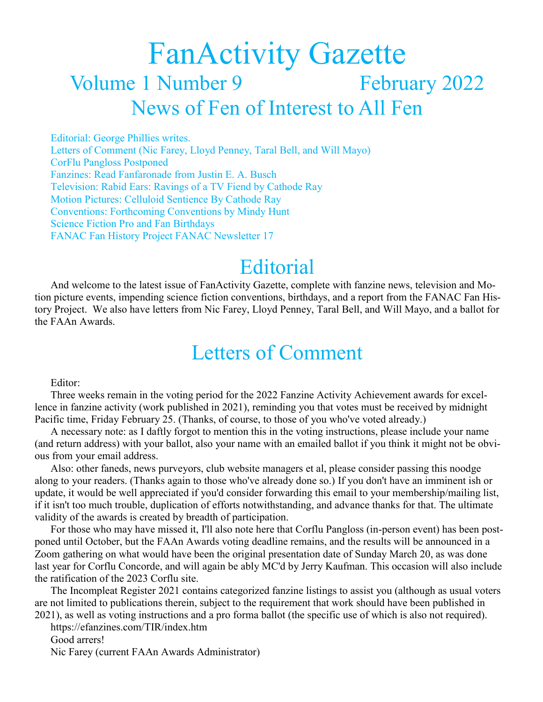# FanActivity Gazette Volume 1 Number 9 February 2022 News of Fen of Interest to All Fen

Editorial: George Phillies writes. Letters of Comment (Nic Farey, Lloyd Penney, Taral Bell, and Will Mayo) CorFlu Pangloss Postponed Fanzines: Read Fanfaronade from Justin E. A. Busch Television: Rabid Ears: Ravings of a TV Fiend by Cathode Ray Motion Pictures: Celluloid Sentience By Cathode Ray Conventions: Forthcoming Conventions by Mindy Hunt Science Fiction Pro and Fan Birthdays FANAC Fan History Project FANAC Newsletter 17

### **Editorial**

And welcome to the latest issue of FanActivity Gazette, complete with fanzine news, television and Motion picture events, impending science fiction conventions, birthdays, and a report from the FANAC Fan History Project. We also have letters from Nic Farey, Lloyd Penney, Taral Bell, and Will Mayo, and a ballot for the FAAn Awards.

## Letters of Comment

Editor:

Three weeks remain in the voting period for the 2022 Fanzine Activity Achievement awards for excellence in fanzine activity (work published in 2021), reminding you that votes must be received by midnight Pacific time, Friday February 25. (Thanks, of course, to those of you who've voted already.)

A necessary note: as I daftly forgot to mention this in the voting instructions, please include your name (and return address) with your ballot, also your name with an emailed ballot if you think it might not be obvious from your email address.

Also: other faneds, news purveyors, club website managers et al, please consider passing this noodge along to your readers. (Thanks again to those who've already done so.) If you don't have an imminent ish or update, it would be well appreciated if you'd consider forwarding this email to your membership/mailing list, if it isn't too much trouble, duplication of efforts notwithstanding, and advance thanks for that. The ultimate validity of the awards is created by breadth of participation.

For those who may have missed it, I'll also note here that Corflu Pangloss (in-person event) has been postponed until October, but the FAAn Awards voting deadline remains, and the results will be announced in a Zoom gathering on what would have been the original presentation date of Sunday March 20, as was done last year for Corflu Concorde, and will again be ably MC'd by Jerry Kaufman. This occasion will also include the ratification of the 2023 Corflu site.

The Incompleat Register 2021 contains categorized fanzine listings to assist you (although as usual voters are not limited to publications therein, subject to the requirement that work should have been published in 2021), as well as voting instructions and a pro forma ballot (the specific use of which is also not required).

https://efanzines.com/TIR/index.htm Good arrers!

Nic Farey (current FAAn Awards Administrator)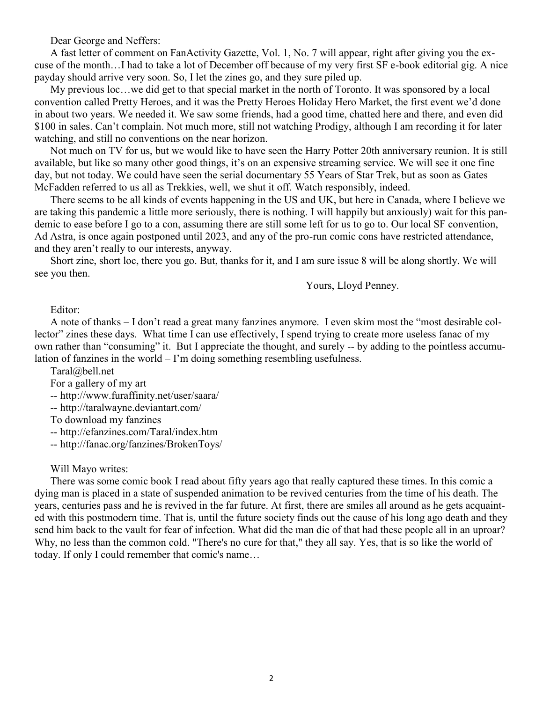Dear George and Neffers:

A fast letter of comment on FanActivity Gazette, Vol. 1, No. 7 will appear, right after giving you the excuse of the month…I had to take a lot of December off because of my very first SF e-book editorial gig. A nice payday should arrive very soon. So, I let the zines go, and they sure piled up.

My previous loc…we did get to that special market in the north of Toronto. It was sponsored by a local convention called Pretty Heroes, and it was the Pretty Heroes Holiday Hero Market, the first event we'd done in about two years. We needed it. We saw some friends, had a good time, chatted here and there, and even did \$100 in sales. Can't complain. Not much more, still not watching Prodigy, although I am recording it for later watching, and still no conventions on the near horizon.

Not much on TV for us, but we would like to have seen the Harry Potter 20th anniversary reunion. It is still available, but like so many other good things, it's on an expensive streaming service. We will see it one fine day, but not today. We could have seen the serial documentary 55 Years of Star Trek, but as soon as Gates McFadden referred to us all as Trekkies, well, we shut it off. Watch responsibly, indeed.

There seems to be all kinds of events happening in the US and UK, but here in Canada, where I believe we are taking this pandemic a little more seriously, there is nothing. I will happily but anxiously) wait for this pandemic to ease before I go to a con, assuming there are still some left for us to go to. Our local SF convention, Ad Astra, is once again postponed until 2023, and any of the pro-run comic cons have restricted attendance, and they aren't really to our interests, anyway.

Short zine, short loc, there you go. But, thanks for it, and I am sure issue 8 will be along shortly. We will see you then.

Yours, Lloyd Penney.

Editor:

A note of thanks – I don't read a great many fanzines anymore. I even skim most the "most desirable collector" zines these days. What time I can use effectively, I spend trying to create more useless fanac of my own rather than "consuming" it. But I appreciate the thought, and surely -- by adding to the pointless accumulation of fanzines in the world – I'm doing something resembling usefulness.

Taral@bell.net

For a gallery of my art

-- http://www.furaffinity.net/user/saara/

-- http://taralwayne.deviantart.com/

To download my fanzines

-- http://efanzines.com/Taral/index.htm

-- http://fanac.org/fanzines/BrokenToys/

### Will Mayo writes:

There was some comic book I read about fifty years ago that really captured these times. In this comic a dying man is placed in a state of suspended animation to be revived centuries from the time of his death. The years, centuries pass and he is revived in the far future. At first, there are smiles all around as he gets acquainted with this postmodern time. That is, until the future society finds out the cause of his long ago death and they send him back to the vault for fear of infection. What did the man die of that had these people all in an uproar? Why, no less than the common cold. "There's no cure for that," they all say. Yes, that is so like the world of today. If only I could remember that comic's name…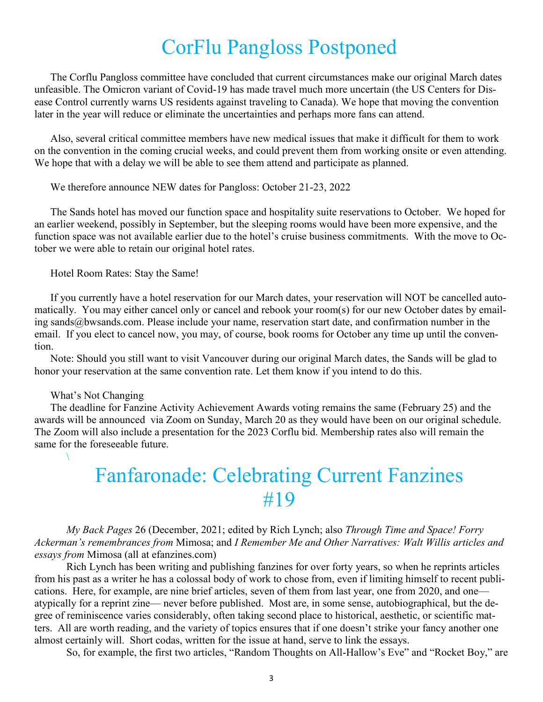### CorFlu Pangloss Postponed

The Corflu Pangloss committee have concluded that current circumstances make our original March dates unfeasible. The Omicron variant of Covid-19 has made travel much more uncertain (the US Centers for Disease Control currently warns US residents against traveling to Canada). We hope that moving the convention later in the year will reduce or eliminate the uncertainties and perhaps more fans can attend.

Also, several critical committee members have new medical issues that make it difficult for them to work on the convention in the coming crucial weeks, and could prevent them from working onsite or even attending. We hope that with a delay we will be able to see them attend and participate as planned.

We therefore announce NEW dates for Pangloss: October 21-23, 2022

The Sands hotel has moved our function space and hospitality suite reservations to October. We hoped for an earlier weekend, possibly in September, but the sleeping rooms would have been more expensive, and the function space was not available earlier due to the hotel's cruise business commitments. With the move to October we were able to retain our original hotel rates.

Hotel Room Rates: Stay the Same!

If you currently have a hotel reservation for our March dates, your reservation will NOT be cancelled automatically. You may either cancel only or cancel and rebook your room(s) for our new October dates by emailing sands@bwsands.com. Please include your name, reservation start date, and confirmation number in the email. If you elect to cancel now, you may, of course, book rooms for October any time up until the convention.

Note: Should you still want to visit Vancouver during our original March dates, the Sands will be glad to honor your reservation at the same convention rate. Let them know if you intend to do this.

#### What's Not Changing

 $\setminus$ 

The deadline for Fanzine Activity Achievement Awards voting remains the same (February 25) and the awards will be announced via Zoom on Sunday, March 20 as they would have been on our original schedule. The Zoom will also include a presentation for the 2023 Corflu bid. Membership rates also will remain the same for the foreseeable future.

### Fanfaronade: Celebrating Current Fanzines #19

*My Back Pages* 26 (December, 2021; edited by Rich Lynch; also *Through Time and Space! Forry Ackerman's remembrances from* Mimosa; and *I Remember Me and Other Narratives: Walt Willis articles and essays from* Mimosa (all at [efanzines.com\)](http://efanzines.com/)

Rich Lynch has been writing and publishing fanzines for over forty years, so when he reprints articles from his past as a writer he has a colossal body of work to chose from, even if limiting himself to recent publications. Here, for example, are nine brief articles, seven of them from last year, one from 2020, and one atypically for a reprint zine— never before published. Most are, in some sense, autobiographical, but the degree of reminiscence varies considerably, often taking second place to historical, aesthetic, or scientific matters. All are worth reading, and the variety of topics ensures that if one doesn't strike your fancy another one almost certainly will. Short codas, written for the issue at hand, serve to link the essays.

So, for example, the first two articles, "Random Thoughts on All-Hallow's Eve" and "Rocket Boy," are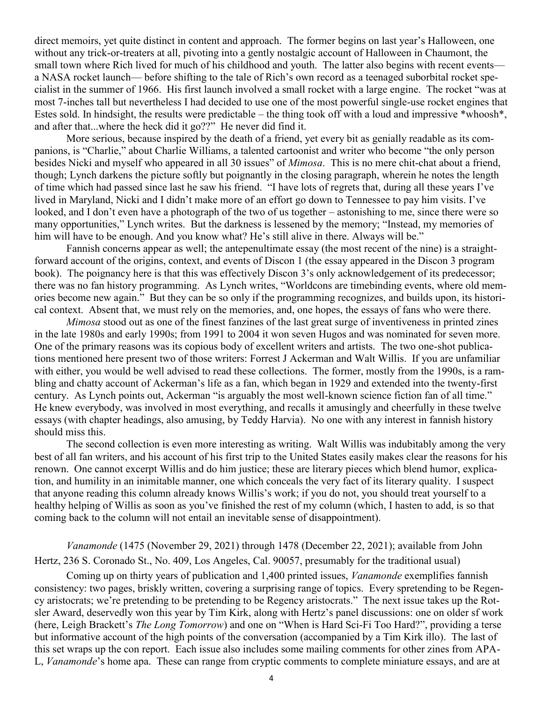direct memoirs, yet quite distinct in content and approach. The former begins on last year's Halloween, one without any trick-or-treaters at all, pivoting into a gently nostalgic account of Halloween in Chaumont, the small town where Rich lived for much of his childhood and youth. The latter also begins with recent events a NASA rocket launch— before shifting to the tale of Rich's own record as a teenaged suborbital rocket specialist in the summer of 1966. His first launch involved a small rocket with a large engine. The rocket "was at most 7-inches tall but nevertheless I had decided to use one of the most powerful single-use rocket engines that Estes sold. In hindsight, the results were predictable – the thing took off with a loud and impressive \*whoosh\*, and after that...where the heck did it go??" He never did find it.

More serious, because inspired by the death of a friend, yet every bit as genially readable as its companions, is "Charlie," about Charlie Williams, a talented cartoonist and writer who become "the only person besides Nicki and myself who appeared in all 30 issues" of *Mimosa*. This is no mere chit-chat about a friend, though; Lynch darkens the picture softly but poignantly in the closing paragraph, wherein he notes the length of time which had passed since last he saw his friend. "I have lots of regrets that, during all these years I've lived in Maryland, Nicki and I didn't make more of an effort go down to Tennessee to pay him visits. I've looked, and I don't even have a photograph of the two of us together – astonishing to me, since there were so many opportunities," Lynch writes. But the darkness is lessened by the memory; "Instead, my memories of him will have to be enough. And you know what? He's still alive in there. Always will be."

Fannish concerns appear as well; the antepenultimate essay (the most recent of the nine) is a straightforward account of the origins, context, and events of Discon 1 (the essay appeared in the Discon 3 program book). The poignancy here is that this was effectively Discon 3's only acknowledgement of its predecessor; there was no fan history programming. As Lynch writes, "Worldcons are timebinding events, where old memories become new again." But they can be so only if the programming recognizes, and builds upon, its historical context. Absent that, we must rely on the memories, and, one hopes, the essays of fans who were there.

*Mimosa* stood out as one of the finest fanzines of the last great surge of inventiveness in printed zines in the late 1980s and early 1990s; from 1991 to 2004 it won seven Hugos and was nominated for seven more. One of the primary reasons was its copious body of excellent writers and artists. The two one-shot publications mentioned here present two of those writers: Forrest J Ackerman and Walt Willis. If you are unfamiliar with either, you would be well advised to read these collections. The former, mostly from the 1990s, is a rambling and chatty account of Ackerman's life as a fan, which began in 1929 and extended into the twenty-first century. As Lynch points out, Ackerman "is arguably the most well-known science fiction fan of all time." He knew everybody, was involved in most everything, and recalls it amusingly and cheerfully in these twelve essays (with chapter headings, also amusing, by Teddy Harvia). No one with any interest in fannish history should miss this.

The second collection is even more interesting as writing. Walt Willis was indubitably among the very best of all fan writers, and his account of his first trip to the United States easily makes clear the reasons for his renown. One cannot excerpt Willis and do him justice; these are literary pieces which blend humor, explication, and humility in an inimitable manner, one which conceals the very fact of its literary quality. I suspect that anyone reading this column already knows Willis's work; if you do not, you should treat yourself to a healthy helping of Willis as soon as you've finished the rest of my column (which, I hasten to add, is so that coming back to the column will not entail an inevitable sense of disappointment).

*Vanamonde* (1475 (November 29, 2021) through 1478 (December 22, 2021); available from John Hertz, 236 S. Coronado St., No. 409, Los Angeles, Cal. 90057, presumably for the traditional usual)

Coming up on thirty years of publication and 1,400 printed issues, *Vanamonde* exemplifies fannish consistency: two pages, briskly written, covering a surprising range of topics. Every spretending to be Regency aristocrats; we're pretending to be pretending to be Regency aristocrats." The next issue takes up the Rotsler Award, deservedly won this year by Tim Kirk, along with Hertz's panel discussions: one on older sf work (here, Leigh Brackett's *The Long Tomorrow*) and one on "When is Hard Sci-Fi Too Hard?", providing a terse but informative account of the high points of the conversation (accompanied by a Tim Kirk illo). The last of this set wraps up the con report. Each issue also includes some mailing comments for other zines from APA-L, *Vanamonde*'s home apa. These can range from cryptic comments to complete miniature essays, and are at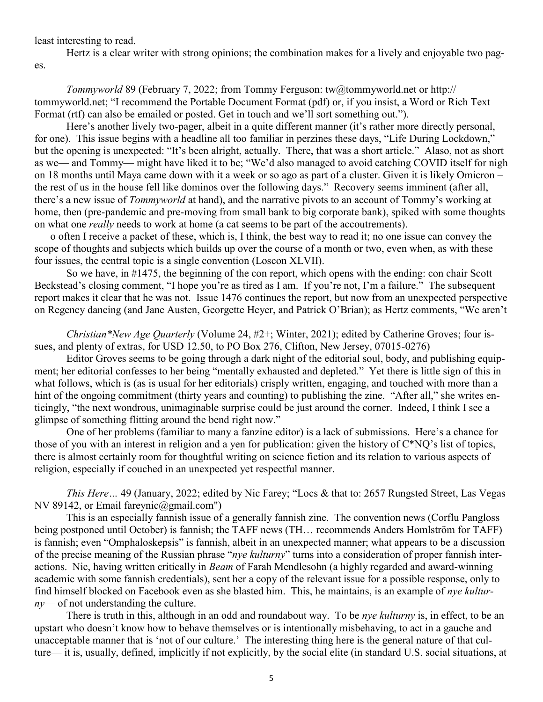least interesting to read.

Hertz is a clear writer with strong opinions; the combination makes for a lively and enjoyable two pages.

*Tommyworld* 89 (February 7, 2022; from Tommy Ferguson: [tw@tommyworld.net o](mailto:tw@tommyworld.net)r [http://](http://tommyworld.net/) [tommyworld.net;](http://tommyworld.net/) "I recommend the Portable Document Format (pdf) or, if you insist, a Word or Rich Text Format (rtf) can also be emailed or posted. Get in touch and we'll sort something out.").

Here's another lively two-pager, albeit in a quite different manner (it's rather more directly personal, for one). This issue begins with a headline all too familiar in perzines these days, "Life During Lockdown," but the opening is unexpected: "It's been alright, actually. There, that was a short article." Alaso, not as short as we— and Tommy— might have liked it to be; "We'd also managed to avoid catching COVID itself for nigh on 18 months until Maya came down with it a week or so ago as part of a cluster. Given it is likely Omicron – the rest of us in the house fell like dominos over the following days." Recovery seems imminent (after all, there's a new issue of *Tommyworld* at hand), and the narrative pivots to an account of Tommy's working at home, then (pre-pandemic and pre-moving from small bank to big corporate bank), spiked with some thoughts on what one *really* needs to work at home (a cat seems to be part of the accoutrements).

o often I receive a packet of these, which is, I think, the best way to read it; no one issue can convey the scope of thoughts and subjects which builds up over the course of a month or two, even when, as with these four issues, the central topic is a single convention (Loscon XLVII).

So we have, in #1475, the beginning of the con report, which opens with the ending: con chair Scott Beckstead's closing comment, "I hope you're as tired as I am. If you're not, I'm a failure." The subsequent report makes it clear that he was not. Issue 1476 continues the report, but now from an unexpected perspective on Regency dancing (and Jane Austen, Georgette Heyer, and Patrick O'Brian); as Hertz comments, "We aren't

*Christian\*New Age Quarterly* (Volume 24, #2+; Winter, 2021); edited by Catherine Groves; four issues, and plenty of extras, for USD 12.50, to PO Box 276, Clifton, New Jersey, 07015-0276)

Editor Groves seems to be going through a dark night of the editorial soul, body, and publishing equipment; her editorial confesses to her being "mentally exhausted and depleted." Yet there is little sign of this in what follows, which is (as is usual for her editorials) crisply written, engaging, and touched with more than a hint of the ongoing commitment (thirty years and counting) to publishing the zine. "After all," she writes enticingly, "the next wondrous, unimaginable surprise could be just around the corner. Indeed, I think I see a glimpse of something flitting around the bend right now."

One of her problems (familiar to many a fanzine editor) is a lack of submissions. Here's a chance for those of you with an interest in religion and a yen for publication: given the history of C\*NQ's list of topics, there is almost certainly room for thoughtful writing on science fiction and its relation to various aspects of religion, especially if couched in an unexpected yet respectful manner.

*This Here…* 49 (January, 2022; edited by Nic Farey; "Locs & that to: 2657 Rungsted Street, Las Vegas NV 89142, or Email [fareynic@gmail.com"\)](mailto:fareynic@gmail.com)

This is an especially fannish issue of a generally fannish zine. The convention news (Corflu Pangloss being postponed until October) is fannish; the TAFF news (TH… recommends Anders Homlström for TAFF) is fannish; even "Omphaloskepsis" is fannish, albeit in an unexpected manner; what appears to be a discussion of the precise meaning of the Russian phrase "*nye kulturny*" turns into a consideration of proper fannish interactions. Nic, having written critically in *Beam* of Farah Mendlesohn (a highly regarded and award-winning academic with some fannish credentials), sent her a copy of the relevant issue for a possible response, only to find himself blocked on Facebook even as she blasted him. This, he maintains, is an example of *nye kulturny*— of not understanding the culture.

There is truth in this, although in an odd and roundabout way. To be *nye kulturny* is, in effect, to be an upstart who doesn't know how to behave themselves or is intentionally misbehaving, to act in a gauche and unacceptable manner that is 'not of our culture.' The interesting thing here is the general nature of that culture— it is, usually, defined, implicitly if not explicitly, by the social elite (in standard U.S. social situations, at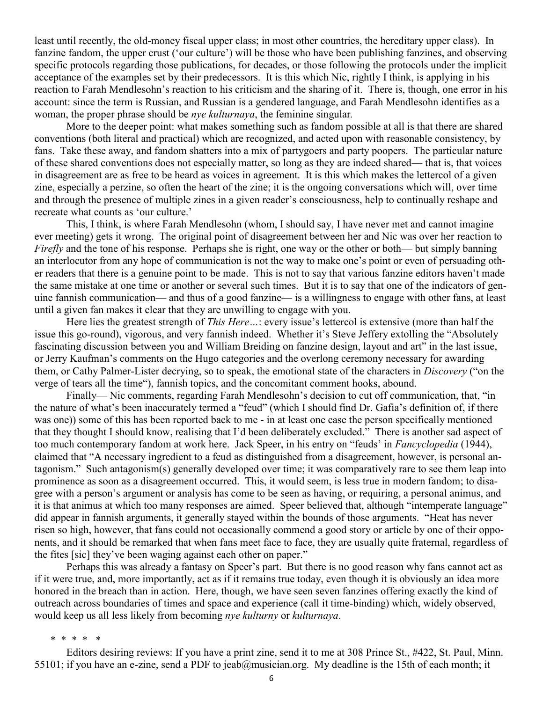least until recently, the old-money fiscal upper class; in most other countries, the hereditary upper class). In fanzine fandom, the upper crust ('our culture') will be those who have been publishing fanzines, and observing specific protocols regarding those publications, for decades, or those following the protocols under the implicit acceptance of the examples set by their predecessors. It is this which Nic, rightly I think, is applying in his reaction to Farah Mendlesohn's reaction to his criticism and the sharing of it. There is, though, one error in his account: since the term is Russian, and Russian is a gendered language, and Farah Mendlesohn identifies as a woman, the proper phrase should be *nye kulturnaya*, the feminine singular*.*

More to the deeper point: what makes something such as fandom possible at all is that there are shared conventions (both literal and practical) which are recognized, and acted upon with reasonable consistency, by fans. Take these away, and fandom shatters into a mix of partygoers and party poopers. The particular nature of these shared conventions does not especially matter, so long as they are indeed shared— that is, that voices in disagreement are as free to be heard as voices in agreement. It is this which makes the lettercol of a given zine, especially a perzine, so often the heart of the zine; it is the ongoing conversations which will, over time and through the presence of multiple zines in a given reader's consciousness, help to continually reshape and recreate what counts as 'our culture.'

This, I think, is where Farah Mendlesohn (whom, I should say, I have never met and cannot imagine ever meeting) gets it wrong. The original point of disagreement between her and Nic was over her reaction to *Firefly* and the tone of his response. Perhaps she is right, one way or the other or both— but simply banning an interlocutor from any hope of communication is not the way to make one's point or even of persuading other readers that there is a genuine point to be made. This is not to say that various fanzine editors haven't made the same mistake at one time or another or several such times. But it is to say that one of the indicators of genuine fannish communication— and thus of a good fanzine— is a willingness to engage with other fans, at least until a given fan makes it clear that they are unwilling to engage with you.

Here lies the greatest strength of *This Here…*: every issue's lettercol is extensive (more than half the issue this go-round), vigorous, and very fannish indeed. Whether it's Steve Jeffery extolling the "Absolutely fascinating discussion between you and William Breiding on fanzine design, layout and art" in the last issue, or Jerry Kaufman's comments on the Hugo categories and the overlong ceremony necessary for awarding them, or Cathy Palmer-Lister decrying, so to speak, the emotional state of the characters in *Discovery* ("on the verge of tears all the time"), fannish topics, and the concomitant comment hooks, abound.

Finally— Nic comments, regarding Farah Mendlesohn's decision to cut off communication, that, "in the nature of what's been inaccurately termed a "feud" (which I should find Dr. Gafia's definition of, if there was one)) some of this has been reported back to me - in at least one case the person specifically mentioned that they thought I should know, realising that I'd been deliberately excluded." There is another sad aspect of too much contemporary fandom at work here. Jack Speer, in his entry on "feuds' in *Fancyclopedia* (1944), claimed that "A necessary ingredient to a feud as distinguished from a disagreement, however, is personal antagonism." Such antagonism(s) generally developed over time; it was comparatively rare to see them leap into prominence as soon as a disagreement occurred. This, it would seem, is less true in modern fandom; to disagree with a person's argument or analysis has come to be seen as having, or requiring, a personal animus, and it is that animus at which too many responses are aimed. Speer believed that, although "intemperate language" did appear in fannish arguments, it generally stayed within the bounds of those arguments. "Heat has never risen so high, however, that fans could not occasionally commend a good story or article by one of their opponents, and it should be remarked that when fans meet face to face, they are usually quite fraternal, regardless of the fites [sic] they've been waging against each other on paper."

Perhaps this was already a fantasy on Speer's part. But there is no good reason why fans cannot act as if it were true, and, more importantly, act as if it remains true today, even though it is obviously an idea more honored in the breach than in action. Here, though, we have seen seven fanzines offering exactly the kind of outreach across boundaries of times and space and experience (call it time-binding) which, widely observed, would keep us all less likely from becoming *nye kulturny* or *kulturnaya*.

\* \* \* \* \*

Editors desiring reviews: If you have a print zine, send it to me at 308 Prince St., #422, St. Paul, Minn. 55101; if you have an e-zine, send a PDF to [jeab@musician.org.](mailto:jeab@musician.org) My deadline is the 15th of each month; it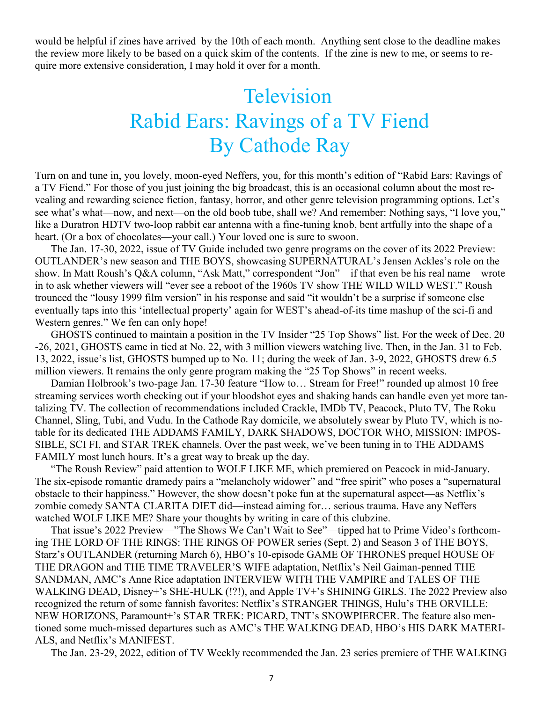would be helpful if zines have arrived by the 10th of each month. Anything sent close to the deadline makes the review more likely to be based on a quick skim of the contents. If the zine is new to me, or seems to require more extensive consideration, I may hold it over for a month.

## **Television** Rabid Ears: Ravings of a TV Fiend By Cathode Ray

Turn on and tune in, you lovely, moon-eyed Neffers, you, for this month's edition of "Rabid Ears: Ravings of a TV Fiend." For those of you just joining the big broadcast, this is an occasional column about the most revealing and rewarding science fiction, fantasy, horror, and other genre television programming options. Let's see what's what—now, and next—on the old boob tube, shall we? And remember: Nothing says, "I love you," like a Duratron HDTV two-loop rabbit ear antenna with a fine-tuning knob, bent artfully into the shape of a heart. (Or a box of chocolates—your call.) Your loved one is sure to swoon.

The Jan. 17-30, 2022, issue of TV Guide included two genre programs on the cover of its 2022 Preview: OUTLANDER's new season and THE BOYS, showcasing SUPERNATURAL's Jensen Ackles's role on the show. In Matt Roush's Q&A column, "Ask Matt," correspondent "Jon"—if that even be his real name—wrote in to ask whether viewers will "ever see a reboot of the 1960s TV show THE WILD WILD WEST." Roush trounced the "lousy 1999 film version" in his response and said "it wouldn't be a surprise if someone else eventually taps into this 'intellectual property' again for WEST's ahead-of-its time mashup of the sci-fi and Western genres." We fen can only hope!

GHOSTS continued to maintain a position in the TV Insider "25 Top Shows" list. For the week of Dec. 20 -26, 2021, GHOSTS came in tied at No. 22, with 3 million viewers watching live. Then, in the Jan. 31 to Feb. 13, 2022, issue's list, GHOSTS bumped up to No. 11; during the week of Jan. 3-9, 2022, GHOSTS drew 6.5 million viewers. It remains the only genre program making the "25 Top Shows" in recent weeks.

Damian Holbrook's two-page Jan. 17-30 feature "How to… Stream for Free!" rounded up almost 10 free streaming services worth checking out if your bloodshot eyes and shaking hands can handle even yet more tantalizing TV. The collection of recommendations included Crackle, IMDb TV, Peacock, Pluto TV, The Roku Channel, Sling, Tubi, and Vudu. In the Cathode Ray domicile, we absolutely swear by Pluto TV, which is notable for its dedicated THE ADDAMS FAMILY, DARK SHADOWS, DOCTOR WHO, MISSION: IMPOS-SIBLE, SCI FI, and STAR TREK channels. Over the past week, we've been tuning in to THE ADDAMS FAMILY most lunch hours. It's a great way to break up the day.

"The Roush Review" paid attention to WOLF LIKE ME, which premiered on Peacock in mid-January. The six-episode romantic dramedy pairs a "melancholy widower" and "free spirit" who poses a "supernatural obstacle to their happiness." However, the show doesn't poke fun at the supernatural aspect—as Netflix's zombie comedy SANTA CLARITA DIET did—instead aiming for… serious trauma. Have any Neffers watched WOLF LIKE ME? Share your thoughts by writing in care of this clubzine.

That issue's 2022 Preview—"The Shows We Can't Wait to See"—tipped hat to Prime Video's forthcoming THE LORD OF THE RINGS: THE RINGS OF POWER series (Sept. 2) and Season 3 of THE BOYS, Starz's OUTLANDER (returning March 6), HBO's 10-episode GAME OF THRONES prequel HOUSE OF THE DRAGON and THE TIME TRAVELER'S WIFE adaptation, Netflix's Neil Gaiman-penned THE SANDMAN, AMC's Anne Rice adaptation INTERVIEW WITH THE VAMPIRE and TALES OF THE WALKING DEAD, Disney+'s SHE-HULK (!?!), and Apple TV+'s SHINING GIRLS. The 2022 Preview also recognized the return of some fannish favorites: Netflix's STRANGER THINGS, Hulu's THE ORVILLE: NEW HORIZONS, Paramount+'s STAR TREK: PICARD, TNT's SNOWPIERCER. The feature also mentioned some much-missed departures such as AMC's THE WALKING DEAD, HBO's HIS DARK MATERI-ALS, and Netflix's MANIFEST.

The Jan. 23-29, 2022, edition of TV Weekly recommended the Jan. 23 series premiere of THE WALKING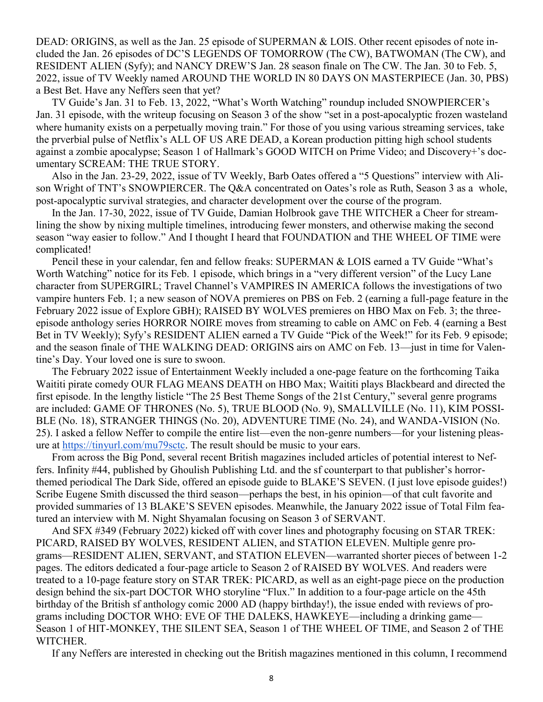DEAD: ORIGINS, as well as the Jan. 25 episode of SUPERMAN & LOIS. Other recent episodes of note included the Jan. 26 episodes of DC'S LEGENDS OF TOMORROW (The CW), BATWOMAN (The CW), and RESIDENT ALIEN (Syfy); and NANCY DREW'S Jan. 28 season finale on The CW. The Jan. 30 to Feb. 5, 2022, issue of TV Weekly named AROUND THE WORLD IN 80 DAYS ON MASTERPIECE (Jan. 30, PBS) a Best Bet. Have any Neffers seen that yet?

TV Guide's Jan. 31 to Feb. 13, 2022, "What's Worth Watching" roundup included SNOWPIERCER's Jan. 31 episode, with the writeup focusing on Season 3 of the show "set in a post-apocalyptic frozen wasteland where humanity exists on a perpetually moving train." For those of you using various streaming services, take the prverbial pulse of Netflix's ALL OF US ARE DEAD, a Korean production pitting high school students against a zombie apocalypse; Season 1 of Hallmark's GOOD WITCH on Prime Video; and Discovery+'s documentary SCREAM: THE TRUE STORY.

Also in the Jan. 23-29, 2022, issue of TV Weekly, Barb Oates offered a "5 Questions" interview with Alison Wright of TNT's SNOWPIERCER. The Q&A concentrated on Oates's role as Ruth, Season 3 as a whole, post-apocalyptic survival strategies, and character development over the course of the program.

In the Jan. 17-30, 2022, issue of TV Guide, Damian Holbrook gave THE WITCHER a Cheer for streamlining the show by nixing multiple timelines, introducing fewer monsters, and otherwise making the second season "way easier to follow." And I thought I heard that FOUNDATION and THE WHEEL OF TIME were complicated!

Pencil these in your calendar, fen and fellow freaks: SUPERMAN & LOIS earned a TV Guide "What's Worth Watching" notice for its Feb. 1 episode, which brings in a "very different version" of the Lucy Lane character from SUPERGIRL; Travel Channel's VAMPIRES IN AMERICA follows the investigations of two vampire hunters Feb. 1; a new season of NOVA premieres on PBS on Feb. 2 (earning a full-page feature in the February 2022 issue of Explore GBH); RAISED BY WOLVES premieres on HBO Max on Feb. 3; the threeepisode anthology series HORROR NOIRE moves from streaming to cable on AMC on Feb. 4 (earning a Best Bet in TV Weekly); Syfy's RESIDENT ALIEN earned a TV Guide "Pick of the Week!" for its Feb. 9 episode; and the season finale of THE WALKING DEAD: ORIGINS airs on AMC on Feb. 13—just in time for Valentine's Day. Your loved one is sure to swoon.

The February 2022 issue of Entertainment Weekly included a one-page feature on the forthcoming Taika Waititi pirate comedy OUR FLAG MEANS DEATH on HBO Max; Waititi plays Blackbeard and directed the first episode. In the lengthy listicle "The 25 Best Theme Songs of the 21st Century," several genre programs are included: GAME OF THRONES (No. 5), TRUE BLOOD (No. 9), SMALLVILLE (No. 11), KIM POSSI-BLE (No. 18), STRANGER THINGS (No. 20), ADVENTURE TIME (No. 24), and WANDA-VISION (No. 25). I asked a fellow Neffer to compile the entire list—even the non-genre numbers—for your listening pleasure at [https://tinyurl.com/mu79sctc.](https://tinyurl.com/mu79sctc) The result should be music to your ears.

From across the Big Pond, several recent British magazines included articles of potential interest to Neffers. Infinity #44, published by Ghoulish Publishing Ltd. and the sf counterpart to that publisher's horrorthemed periodical The Dark Side, offered an episode guide to BLAKE'S SEVEN. (I just love episode guides!) Scribe Eugene Smith discussed the third season—perhaps the best, in his opinion—of that cult favorite and provided summaries of 13 BLAKE'S SEVEN episodes. Meanwhile, the January 2022 issue of Total Film featured an interview with M. Night Shyamalan focusing on Season 3 of SERVANT.

And SFX #349 (February 2022) kicked off with cover lines and photography focusing on STAR TREK: PICARD, RAISED BY WOLVES, RESIDENT ALIEN, and STATION ELEVEN. Multiple genre programs—RESIDENT ALIEN, SERVANT, and STATION ELEVEN—warranted shorter pieces of between 1-2 pages. The editors dedicated a four-page article to Season 2 of RAISED BY WOLVES. And readers were treated to a 10-page feature story on STAR TREK: PICARD, as well as an eight-page piece on the production design behind the six-part DOCTOR WHO storyline "Flux." In addition to a four-page article on the 45th birthday of the British sf anthology comic 2000 AD (happy birthday!), the issue ended with reviews of programs including DOCTOR WHO: EVE OF THE DALEKS, HAWKEYE—including a drinking game— Season 1 of HIT-MONKEY, THE SILENT SEA, Season 1 of THE WHEEL OF TIME, and Season 2 of THE WITCHER.

If any Neffers are interested in checking out the British magazines mentioned in this column, I recommend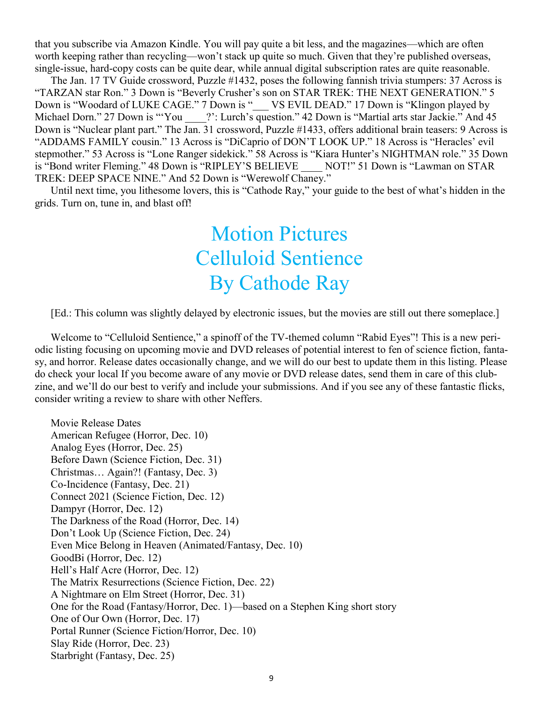that you subscribe via Amazon Kindle. You will pay quite a bit less, and the magazines—which are often worth keeping rather than recycling—won't stack up quite so much. Given that they're published overseas, single-issue, hard-copy costs can be quite dear, while annual digital subscription rates are quite reasonable.

The Jan. 17 TV Guide crossword, Puzzle #1432, poses the following fannish trivia stumpers: 37 Across is "TARZAN star Ron." 3 Down is "Beverly Crusher's son on STAR TREK: THE NEXT GENERATION." 5 Down is "Woodard of LUKE CAGE." 7 Down is "\_\_\_ VS EVIL DEAD." 17 Down is "Klingon played by Michael Dorn." 27 Down is "'You \_\_\_\_?': Lurch's question." 42 Down is "Martial arts star Jackie." And 45 Down is "Nuclear plant part." The Jan. 31 crossword, Puzzle #1433, offers additional brain teasers: 9 Across is "ADDAMS FAMILY cousin." 13 Across is "DiCaprio of DON'T LOOK UP." 18 Across is "Heracles' evil stepmother." 53 Across is "Lone Ranger sidekick." 58 Across is "Kiara Hunter's NIGHTMAN role." 35 Down is "Bond writer Fleming." 48 Down is "RIPLEY'S BELIEVE NOT!" 51 Down is "Lawman on STAR TREK: DEEP SPACE NINE." And 52 Down is "Werewolf Chaney."

Until next time, you lithesome lovers, this is "Cathode Ray," your guide to the best of what's hidden in the grids. Turn on, tune in, and blast off!

## Motion Pictures Celluloid Sentience By Cathode Ray

[Ed.: This column was slightly delayed by electronic issues, but the movies are still out there someplace.]

Welcome to "Celluloid Sentience," a spinoff of the TV-themed column "Rabid Eyes"! This is a new periodic listing focusing on upcoming movie and DVD releases of potential interest to fen of science fiction, fantasy, and horror. Release dates occasionally change, and we will do our best to update them in this listing. Please do check your local If you become aware of any movie or DVD release dates, send them in care of this clubzine, and we'll do our best to verify and include your submissions. And if you see any of these fantastic flicks, consider writing a review to share with other Neffers.

Movie Release Dates American Refugee (Horror, Dec. 10) Analog Eyes (Horror, Dec. 25) Before Dawn (Science Fiction, Dec. 31) Christmas… Again?! (Fantasy, Dec. 3) Co-Incidence (Fantasy, Dec. 21) Connect 2021 (Science Fiction, Dec. 12) Dampyr (Horror, Dec. 12) The Darkness of the Road (Horror, Dec. 14) Don't Look Up (Science Fiction, Dec. 24) Even Mice Belong in Heaven (Animated/Fantasy, Dec. 10) GoodBi (Horror, Dec. 12) Hell's Half Acre (Horror, Dec. 12) The Matrix Resurrections (Science Fiction, Dec. 22) A Nightmare on Elm Street (Horror, Dec. 31) One for the Road (Fantasy/Horror, Dec. 1)—based on a Stephen King short story One of Our Own (Horror, Dec. 17) Portal Runner (Science Fiction/Horror, Dec. 10) Slay Ride (Horror, Dec. 23) Starbright (Fantasy, Dec. 25)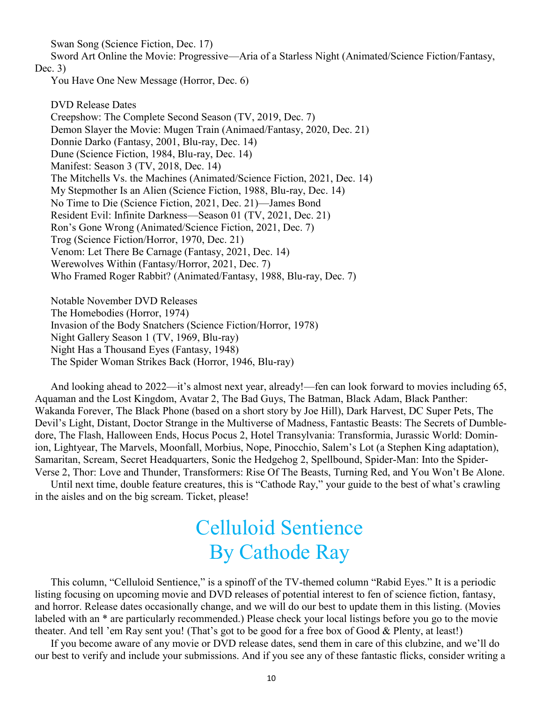Swan Song (Science Fiction, Dec. 17)

Sword Art Online the Movie: Progressive—Aria of a Starless Night (Animated/Science Fiction/Fantasy, Dec. 3)

You Have One New Message (Horror, Dec. 6)

DVD Release Dates Creepshow: The Complete Second Season (TV, 2019, Dec. 7) Demon Slayer the Movie: Mugen Train (Animaed/Fantasy, 2020, Dec. 21) Donnie Darko (Fantasy, 2001, Blu-ray, Dec. 14) Dune (Science Fiction, 1984, Blu-ray, Dec. 14) Manifest: Season 3 (TV, 2018, Dec. 14) The Mitchells Vs. the Machines (Animated/Science Fiction, 2021, Dec. 14) My Stepmother Is an Alien (Science Fiction, 1988, Blu-ray, Dec. 14) No Time to Die (Science Fiction, 2021, Dec. 21)—James Bond Resident Evil: Infinite Darkness—Season 01 (TV, 2021, Dec. 21) Ron's Gone Wrong (Animated/Science Fiction, 2021, Dec. 7) Trog (Science Fiction/Horror, 1970, Dec. 21) Venom: Let There Be Carnage (Fantasy, 2021, Dec. 14) Werewolves Within (Fantasy/Horror, 2021, Dec. 7) Who Framed Roger Rabbit? (Animated/Fantasy, 1988, Blu-ray, Dec. 7)

Notable November DVD Releases The Homebodies (Horror, 1974) Invasion of the Body Snatchers (Science Fiction/Horror, 1978) Night Gallery Season 1 (TV, 1969, Blu-ray) Night Has a Thousand Eyes (Fantasy, 1948) The Spider Woman Strikes Back (Horror, 1946, Blu-ray)

And looking ahead to 2022—it's almost next year, already!—fen can look forward to movies including 65, Aquaman and the Lost Kingdom, Avatar 2, The Bad Guys, The Batman, Black Adam, Black Panther: Wakanda Forever, The Black Phone (based on a short story by Joe Hill), Dark Harvest, DC Super Pets, The Devil's Light, Distant, Doctor Strange in the Multiverse of Madness, Fantastic Beasts: The Secrets of Dumbledore, The Flash, Halloween Ends, Hocus Pocus 2, Hotel Transylvania: Transformia, Jurassic World: Dominion, Lightyear, The Marvels, Moonfall, Morbius, Nope, Pinocchio, Salem's Lot (a Stephen King adaptation), Samaritan, Scream, Secret Headquarters, Sonic the Hedgehog 2, Spellbound, Spider-Man: Into the Spider-Verse 2, Thor: Love and Thunder, Transformers: Rise Of The Beasts, Turning Red, and You Won't Be Alone.

Until next time, double feature creatures, this is "Cathode Ray," your guide to the best of what's crawling in the aisles and on the big scream. Ticket, please!

## Celluloid Sentience By Cathode Ray

This column, "Celluloid Sentience," is a spinoff of the TV-themed column "Rabid Eyes." It is a periodic listing focusing on upcoming movie and DVD releases of potential interest to fen of science fiction, fantasy, and horror. Release dates occasionally change, and we will do our best to update them in this listing. (Movies labeled with an \* are particularly recommended.) Please check your local listings before you go to the movie theater. And tell 'em Ray sent you! (That's got to be good for a free box of Good & Plenty, at least!)

If you become aware of any movie or DVD release dates, send them in care of this clubzine, and we'll do our best to verify and include your submissions. And if you see any of these fantastic flicks, consider writing a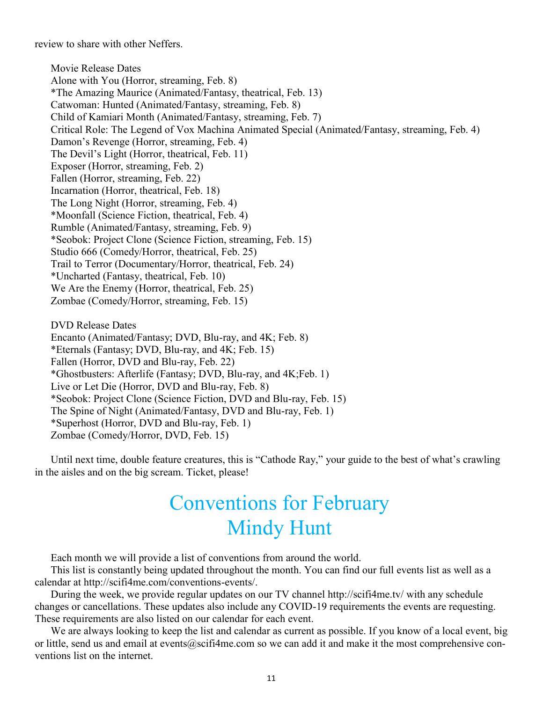review to share with other Neffers.

Movie Release Dates Alone with You (Horror, streaming, Feb. 8) \*The Amazing Maurice (Animated/Fantasy, theatrical, Feb. 13) Catwoman: Hunted (Animated/Fantasy, streaming, Feb. 8) Child of Kamiari Month (Animated/Fantasy, streaming, Feb. 7) Critical Role: The Legend of Vox Machina Animated Special (Animated/Fantasy, streaming, Feb. 4) Damon's Revenge (Horror, streaming, Feb. 4) The Devil's Light (Horror, theatrical, Feb. 11) Exposer (Horror, streaming, Feb. 2) Fallen (Horror, streaming, Feb. 22) Incarnation (Horror, theatrical, Feb. 18) The Long Night (Horror, streaming, Feb. 4) \*Moonfall (Science Fiction, theatrical, Feb. 4) Rumble (Animated/Fantasy, streaming, Feb. 9) \*Seobok: Project Clone (Science Fiction, streaming, Feb. 15) Studio 666 (Comedy/Horror, theatrical, Feb. 25) Trail to Terror (Documentary/Horror, theatrical, Feb. 24) \*Uncharted (Fantasy, theatrical, Feb. 10) We Are the Enemy (Horror, theatrical, Feb. 25) Zombae (Comedy/Horror, streaming, Feb. 15) DVD Release Dates Encanto (Animated/Fantasy; DVD, Blu-ray, and 4K; Feb. 8)

\*Eternals (Fantasy; DVD, Blu-ray, and 4K; Feb. 15) Fallen (Horror, DVD and Blu-ray, Feb. 22) \*Ghostbusters: Afterlife (Fantasy; DVD, Blu-ray, and 4K;Feb. 1) Live or Let Die (Horror, DVD and Blu-ray, Feb. 8) \*Seobok: Project Clone (Science Fiction, DVD and Blu-ray, Feb. 15) The Spine of Night (Animated/Fantasy, DVD and Blu-ray, Feb. 1) \*Superhost (Horror, DVD and Blu-ray, Feb. 1) Zombae (Comedy/Horror, DVD, Feb. 15)

Until next time, double feature creatures, this is "Cathode Ray," your guide to the best of what's crawling in the aisles and on the big scream. Ticket, please!

## Conventions for February Mindy Hunt

Each month we will provide a list of conventions from around the world.

This list is constantly being updated throughout the month. You can find our full events list as well as a calendar at http://scifi4me.com/conventions-events/.

During the week, we provide regular updates on our TV channel http://scifi4me.tv/ with any schedule changes or cancellations. These updates also include any COVID-19 requirements the events are requesting. These requirements are also listed on our calendar for each event.

We are always looking to keep the list and calendar as current as possible. If you know of a local event, big or little, send us and email at events@scifi4me.com so we can add it and make it the most comprehensive conventions list on the internet.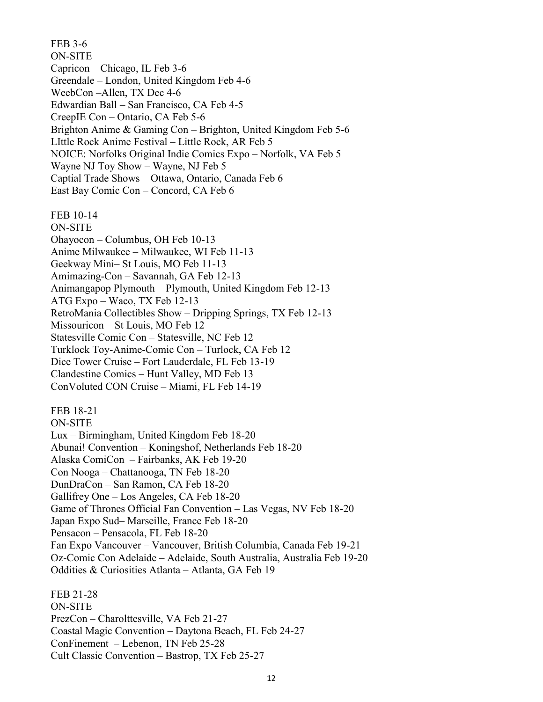FEB 3-6 ON-SITE Capricon – Chicago, IL Feb 3-6 Greendale – London, United Kingdom Feb 4-6 WeebCon –Allen, TX Dec 4-6 Edwardian Ball – San Francisco, CA Feb 4-5 CreepIE Con – Ontario, CA Feb 5-6 Brighton Anime & Gaming Con – Brighton, United Kingdom Feb 5-6 LIttle Rock Anime Festival – Little Rock, AR Feb 5 NOICE: Norfolks Original Indie Comics Expo – Norfolk, VA Feb 5 Wayne NJ Toy Show – Wayne, NJ Feb 5 Captial Trade Shows – Ottawa, Ontario, Canada Feb 6 East Bay Comic Con – Concord, CA Feb 6 FEB 10-14 ON-SITE Ohayocon – Columbus, OH Feb 10-13 Anime Milwaukee – Milwaukee, WI Feb 11-13 Geekway Mini– St Louis, MO Feb 11-13 Amimazing-Con – Savannah, GA Feb 12-13 Animangapop Plymouth – Plymouth, United Kingdom Feb 12-13 ATG Expo – Waco, TX Feb 12-13 RetroMania Collectibles Show – Dripping Springs, TX Feb 12-13 Missouricon – St Louis, MO Feb 12 Statesville Comic Con – Statesville, NC Feb 12 Turklock Toy-Anime-Comic Con – Turlock, CA Feb 12 Dice Tower Cruise – Fort Lauderdale, FL Feb 13-19 Clandestine Comics – Hunt Valley, MD Feb 13 ConVoluted CON Cruise – Miami, FL Feb 14-19 FEB 18-21 ON-SITE Lux – Birmingham, United Kingdom Feb 18-20 Abunai! Convention – Koningshof, Netherlands Feb 18-20 Alaska ComiCon – Fairbanks, AK Feb 19-20 Con Nooga – Chattanooga, TN Feb 18-20 DunDraCon – San Ramon, CA Feb 18-20 Gallifrey One – Los Angeles, CA Feb 18-20 Game of Thrones Official Fan Convention – Las Vegas, NV Feb 18-20 Japan Expo Sud– Marseille, France Feb 18-20 Pensacon – Pensacola, FL Feb 18-20 Fan Expo Vancouver – Vancouver, British Columbia, Canada Feb 19-21 Oz-Comic Con Adelaide – Adelaide, South Australia, Australia Feb 19-20 Oddities & Curiosities Atlanta – Atlanta, GA Feb 19 FEB 21-28 ON-SITE PrezCon – Charolttesville, VA Feb 21-27

Coastal Magic Convention – Daytona Beach, FL Feb 24-27 ConFinement – Lebenon, TN Feb 25-28 Cult Classic Convention – Bastrop, TX Feb 25-27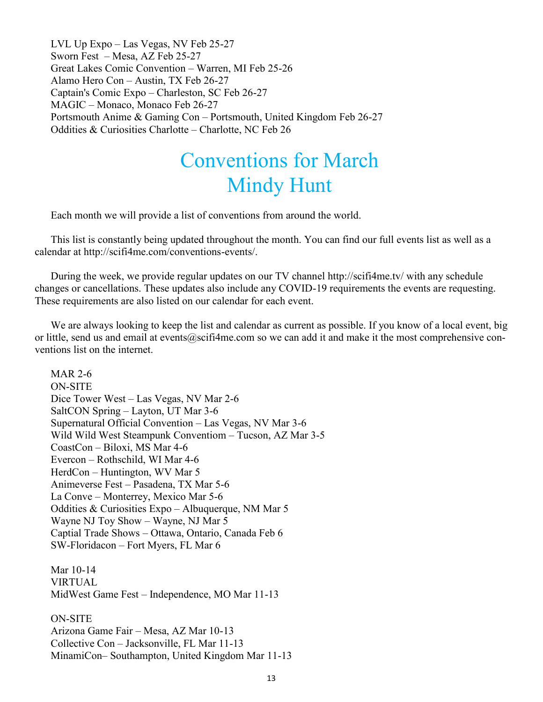LVL Up Expo – Las Vegas, NV Feb 25-27 Sworn Fest – Mesa, AZ Feb 25-27 Great Lakes Comic Convention – Warren, MI Feb 25-26 Alamo Hero Con – Austin, TX Feb 26-27 Captain's Comic Expo – Charleston, SC Feb 26-27 MAGIC – Monaco, Monaco Feb 26-27 Portsmouth Anime & Gaming Con – Portsmouth, United Kingdom Feb 26-27 Oddities & Curiosities Charlotte – Charlotte, NC Feb 26

## Conventions for March Mindy Hunt

Each month we will provide a list of conventions from around the world.

This list is constantly being updated throughout the month. You can find our full events list as well as a calendar at http://scifi4me.com/conventions-events/.

During the week, we provide regular updates on our TV channel http://scifi4me.tv/ with any schedule changes or cancellations. These updates also include any COVID-19 requirements the events are requesting. These requirements are also listed on our calendar for each event.

We are always looking to keep the list and calendar as current as possible. If you know of a local event, big or little, send us and email at events@scifi4me.com so we can add it and make it the most comprehensive conventions list on the internet.

MAR 2-6 ON-SITE Dice Tower West – Las Vegas, NV Mar 2-6 SaltCON Spring – Layton, UT Mar 3-6 Supernatural Official Convention – Las Vegas, NV Mar 3-6 Wild Wild West Steampunk Conventiom – Tucson, AZ Mar 3-5 CoastCon – Biloxi, MS Mar 4-6 Evercon – Rothschild, WI Mar 4-6 HerdCon – Huntington, WV Mar 5 Animeverse Fest – Pasadena, TX Mar 5-6 La Conve – Monterrey, Mexico Mar 5-6 Oddities & Curiosities Expo – Albuquerque, NM Mar 5 Wayne NJ Toy Show – Wayne, NJ Mar 5 Captial Trade Shows – Ottawa, Ontario, Canada Feb 6 SW-Floridacon – Fort Myers, FL Mar 6

Mar 10-14 VIRTUAL MidWest Game Fest – Independence, MO Mar 11-13

ON-SITE Arizona Game Fair – Mesa, AZ Mar 10-13 Collective Con – Jacksonville, FL Mar 11-13 MinamiCon– Southampton, United Kingdom Mar 11-13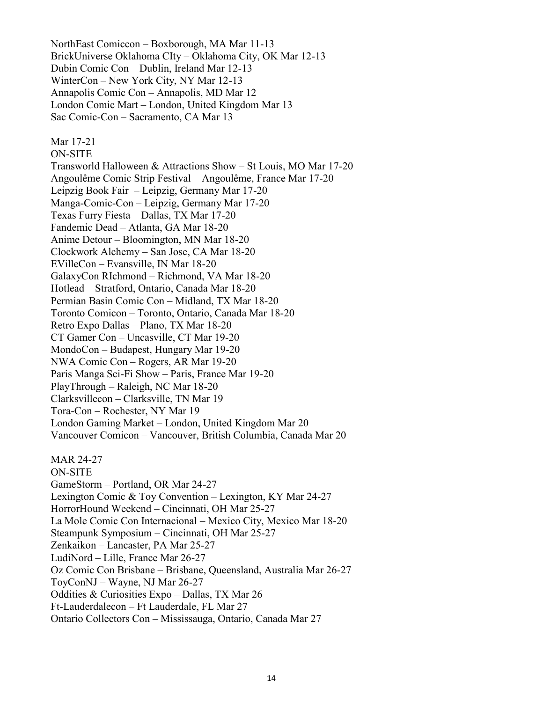NorthEast Comiccon – Boxborough, MA Mar 11-13 BrickUniverse Oklahoma CIty – Oklahoma City, OK Mar 12-13 Dubin Comic Con – Dublin, Ireland Mar 12-13 WinterCon – New York City, NY Mar 12-13 Annapolis Comic Con – Annapolis, MD Mar 12 London Comic Mart – London, United Kingdom Mar 13 Sac Comic-Con – Sacramento, CA Mar 13

Mar 17-21

ON-SITE

Transworld Halloween & Attractions Show – St Louis, MO Mar 17-20 Angoulême Comic Strip Festival – Angoulême, France Mar 17-20 Leipzig Book Fair – Leipzig, Germany Mar 17-20 Manga-Comic-Con – Leipzig, Germany Mar 17-20 Texas Furry Fiesta – Dallas, TX Mar 17-20 Fandemic Dead – Atlanta, GA Mar 18-20 Anime Detour – Bloomington, MN Mar 18-20 Clockwork Alchemy – San Jose, CA Mar 18-20 EVilleCon – Evansville, IN Mar 18-20 GalaxyCon RIchmond – Richmond, VA Mar 18-20 Hotlead – Stratford, Ontario, Canada Mar 18-20 Permian Basin Comic Con – Midland, TX Mar 18-20 Toronto Comicon – Toronto, Ontario, Canada Mar 18-20 Retro Expo Dallas – Plano, TX Mar 18-20 CT Gamer Con – Uncasville, CT Mar 19-20 MondoCon – Budapest, Hungary Mar 19-20 NWA Comic Con – Rogers, AR Mar 19-20 Paris Manga Sci-Fi Show – Paris, France Mar 19-20 PlayThrough – Raleigh, NC Mar 18-20 Clarksvillecon – Clarksville, TN Mar 19 Tora-Con – Rochester, NY Mar 19 London Gaming Market – London, United Kingdom Mar 20 Vancouver Comicon – Vancouver, British Columbia, Canada Mar 20 MAR 24-27 ON-SITE GameStorm – Portland, OR Mar 24-27 Lexington Comic & Toy Convention – Lexington, KY Mar 24-27 HorrorHound Weekend – Cincinnati, OH Mar 25-27 La Mole Comic Con Internacional – Mexico City, Mexico Mar 18-20 Steampunk Symposium – Cincinnati, OH Mar 25-27 Zenkaikon – Lancaster, PA Mar 25-27 LudiNord – Lille, France Mar 26-27 Oz Comic Con Brisbane – Brisbane, Queensland, Australia Mar 26-27 ToyConNJ – Wayne, NJ Mar 26-27 Oddities & Curiosities Expo – Dallas, TX Mar 26 Ft-Lauderdalecon – Ft Lauderdale, FL Mar 27 Ontario Collectors Con – Mississauga, Ontario, Canada Mar 27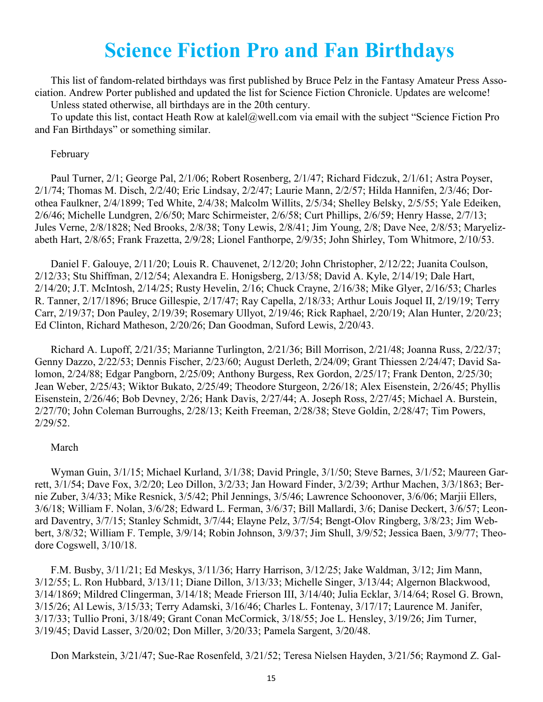### **Science Fiction Pro and Fan Birthdays**

This list of fandom-related birthdays was first published by Bruce Pelz in the Fantasy Amateur Press Association. Andrew Porter published and updated the list for Science Fiction Chronicle. Updates are welcome! Unless stated otherwise, all birthdays are in the 20th century.

To update this list, contact Heath Row at kalel@well.com via email with the subject "Science Fiction Pro and Fan Birthdays" or something similar.

#### February

Paul Turner, 2/1; George Pal, 2/1/06; Robert Rosenberg, 2/1/47; Richard Fidczuk, 2/1/61; Astra Poyser, 2/1/74; Thomas M. Disch, 2/2/40; Eric Lindsay, 2/2/47; Laurie Mann, 2/2/57; Hilda Hannifen, 2/3/46; Dorothea Faulkner, 2/4/1899; Ted White, 2/4/38; Malcolm Willits, 2/5/34; Shelley Belsky, 2/5/55; Yale Edeiken, 2/6/46; Michelle Lundgren, 2/6/50; Marc Schirmeister, 2/6/58; Curt Phillips, 2/6/59; Henry Hasse, 2/7/13; Jules Verne, 2/8/1828; Ned Brooks, 2/8/38; Tony Lewis, 2/8/41; Jim Young, 2/8; Dave Nee, 2/8/53; Maryelizabeth Hart, 2/8/65; Frank Frazetta, 2/9/28; Lionel Fanthorpe, 2/9/35; John Shirley, Tom Whitmore, 2/10/53.

Daniel F. Galouye, 2/11/20; Louis R. Chauvenet, 2/12/20; John Christopher, 2/12/22; Juanita Coulson, 2/12/33; Stu Shiffman, 2/12/54; Alexandra E. Honigsberg, 2/13/58; David A. Kyle, 2/14/19; Dale Hart, 2/14/20; J.T. McIntosh, 2/14/25; Rusty Hevelin, 2/16; Chuck Crayne, 2/16/38; Mike Glyer, 2/16/53; Charles R. Tanner, 2/17/1896; Bruce Gillespie, 2/17/47; Ray Capella, 2/18/33; Arthur Louis Joquel II, 2/19/19; Terry Carr, 2/19/37; Don Pauley, 2/19/39; Rosemary Ullyot, 2/19/46; Rick Raphael, 2/20/19; Alan Hunter, 2/20/23; Ed Clinton, Richard Matheson, 2/20/26; Dan Goodman, Suford Lewis, 2/20/43.

Richard A. Lupoff, 2/21/35; Marianne Turlington, 2/21/36; Bill Morrison, 2/21/48; Joanna Russ, 2/22/37; Genny Dazzo, 2/22/53; Dennis Fischer, 2/23/60; August Derleth, 2/24/09; Grant Thiessen 2/24/47; David Salomon, 2/24/88; Edgar Pangborn, 2/25/09; Anthony Burgess, Rex Gordon, 2/25/17; Frank Denton, 2/25/30; Jean Weber, 2/25/43; Wiktor Bukato, 2/25/49; Theodore Sturgeon, 2/26/18; Alex Eisenstein, 2/26/45; Phyllis Eisenstein, 2/26/46; Bob Devney, 2/26; Hank Davis, 2/27/44; A. Joseph Ross, 2/27/45; Michael A. Burstein, 2/27/70; John Coleman Burroughs, 2/28/13; Keith Freeman, 2/28/38; Steve Goldin, 2/28/47; Tim Powers, 2/29/52.

#### March

Wyman Guin, 3/1/15; Michael Kurland, 3/1/38; David Pringle, 3/1/50; Steve Barnes, 3/1/52; Maureen Garrett, 3/1/54; Dave Fox, 3/2/20; Leo Dillon, 3/2/33; Jan Howard Finder, 3/2/39; Arthur Machen, 3/3/1863; Bernie Zuber, 3/4/33; Mike Resnick, 3/5/42; Phil Jennings, 3/5/46; Lawrence Schoonover, 3/6/06; Marjii Ellers, 3/6/18; William F. Nolan, 3/6/28; Edward L. Ferman, 3/6/37; Bill Mallardi, 3/6; Danise Deckert, 3/6/57; Leonard Daventry, 3/7/15; Stanley Schmidt, 3/7/44; Elayne Pelz, 3/7/54; Bengt-Olov Ringberg, 3/8/23; Jim Webbert, 3/8/32; William F. Temple, 3/9/14; Robin Johnson, 3/9/37; Jim Shull, 3/9/52; Jessica Baen, 3/9/77; Theodore Cogswell, 3/10/18.

F.M. Busby, 3/11/21; Ed Meskys, 3/11/36; Harry Harrison, 3/12/25; Jake Waldman, 3/12; Jim Mann, 3/12/55; L. Ron Hubbard, 3/13/11; Diane Dillon, 3/13/33; Michelle Singer, 3/13/44; Algernon Blackwood, 3/14/1869; Mildred Clingerman, 3/14/18; Meade Frierson III, 3/14/40; Julia Ecklar, 3/14/64; Rosel G. Brown, 3/15/26; Al Lewis, 3/15/33; Terry Adamski, 3/16/46; Charles L. Fontenay, 3/17/17; Laurence M. Janifer, 3/17/33; Tullio Proni, 3/18/49; Grant Conan McCormick, 3/18/55; Joe L. Hensley, 3/19/26; Jim Turner, 3/19/45; David Lasser, 3/20/02; Don Miller, 3/20/33; Pamela Sargent, 3/20/48.

Don Markstein, 3/21/47; Sue-Rae Rosenfeld, 3/21/52; Teresa Nielsen Hayden, 3/21/56; Raymond Z. Gal-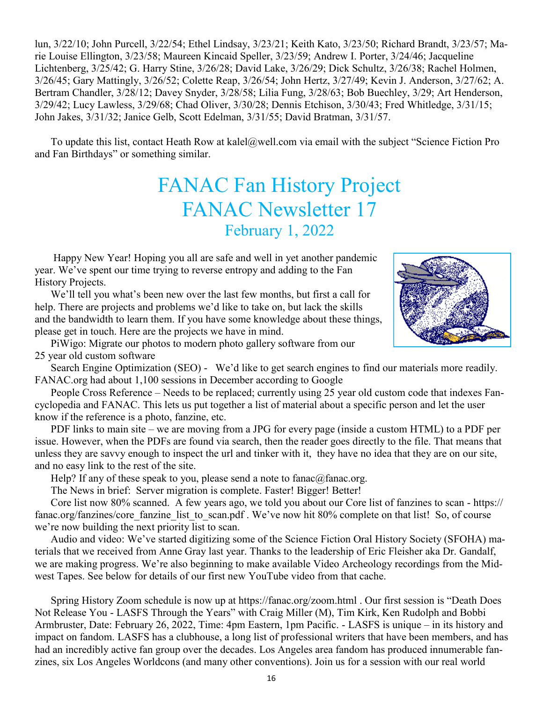lun, 3/22/10; John Purcell, 3/22/54; Ethel Lindsay, 3/23/21; Keith Kato, 3/23/50; Richard Brandt, 3/23/57; Marie Louise Ellington, 3/23/58; Maureen Kincaid Speller, 3/23/59; Andrew I. Porter, 3/24/46; Jacqueline Lichtenberg, 3/25/42; G. Harry Stine, 3/26/28; David Lake, 3/26/29; Dick Schultz, 3/26/38; Rachel Holmen, 3/26/45; Gary Mattingly, 3/26/52; Colette Reap, 3/26/54; John Hertz, 3/27/49; Kevin J. Anderson, 3/27/62; A. Bertram Chandler, 3/28/12; Davey Snyder, 3/28/58; Lilia Fung, 3/28/63; Bob Buechley, 3/29; Art Henderson, 3/29/42; Lucy Lawless, 3/29/68; Chad Oliver, 3/30/28; Dennis Etchison, 3/30/43; Fred Whitledge, 3/31/15; John Jakes, 3/31/32; Janice Gelb, Scott Edelman, 3/31/55; David Bratman, 3/31/57.

To update this list, contact Heath Row at kalel@well.com via email with the subject "Science Fiction Pro and Fan Birthdays" or something similar.

## FANAC Fan History Project FANAC Newsletter 17 February 1, 2022

 Happy New Year! Hoping you all are safe and well in yet another pandemic year. We've spent our time trying to reverse entropy and adding to the Fan History Projects.

 We'll tell you what's been new over the last few months, but first a call for help. There are projects and problems we'd like to take on, but lack the skills and the bandwidth to learn them. If you have some knowledge about these things, please get in touch. Here are the projects we have in mind.

 PiWigo: Migrate our photos to modern photo gallery software from our 25 year old custom software

 Search Engine Optimization (SEO) - We'd like to get search engines to find our materials more readily. FANAC.org had about 1,100 sessions in December according to Google

People Cross Reference – Needs to be replaced; currently using 25 year old custom code that indexes Fancyclopedia and FANAC. This lets us put together a list of material about a specific person and let the user know if the reference is a photo, fanzine, etc.

PDF links to main site – we are moving from a JPG for every page (inside a custom HTML) to a PDF per issue. However, when the PDFs are found via search, then the reader goes directly to the file. That means that unless they are savvy enough to inspect the url and tinker with it, they have no idea that they are on our site, and no easy link to the rest of the site.

Help? If any of these speak to you, please send a note to fanac@fanac.org.

The News in brief: Server migration is complete. Faster! Bigger! Better!

Core list now 80% scanned. A few years ago, we told you about our Core list of fanzines to scan - https:// fanac.org/fanzines/core\_fanzine\_list\_to\_scan.pdf . We've now hit 80% complete on that list! So, of course we're now building the next priority list to scan.

Audio and video: We've started digitizing some of the Science Fiction Oral History Society (SFOHA) materials that we received from Anne Gray last year. Thanks to the leadership of Eric Fleisher aka Dr. Gandalf, we are making progress. We're also beginning to make available Video Archeology recordings from the Midwest Tapes. See below for details of our first new YouTube video from that cache.

Spring History Zoom schedule is now up at https://fanac.org/zoom.html . Our first session is "Death Does Not Release You - LASFS Through the Years" with Craig Miller (M), Tim Kirk, Ken Rudolph and Bobbi Armbruster, Date: February 26, 2022, Time: 4pm Eastern, 1pm Pacific. - LASFS is unique – in its history and impact on fandom. LASFS has a clubhouse, a long list of professional writers that have been members, and has had an incredibly active fan group over the decades. Los Angeles area fandom has produced innumerable fanzines, six Los Angeles Worldcons (and many other conventions). Join us for a session with our real world

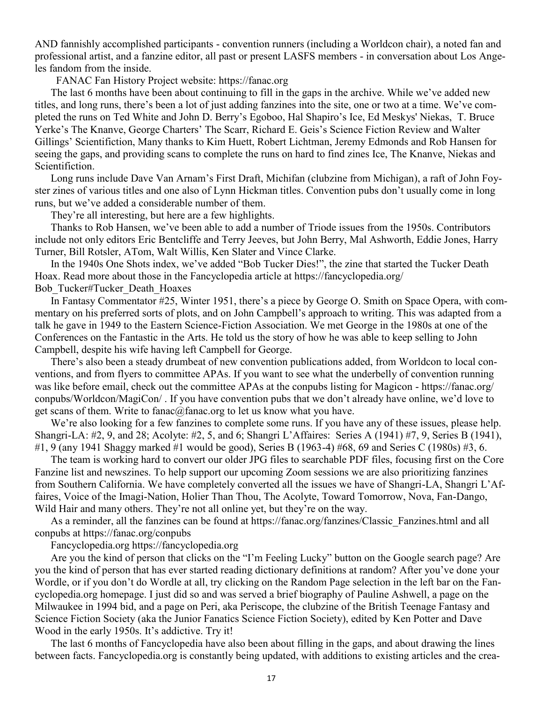AND fannishly accomplished participants - convention runners (including a Worldcon chair), a noted fan and professional artist, and a fanzine editor, all past or present LASFS members - in conversation about Los Angeles fandom from the inside.

FANAC Fan History Project website: https://fanac.org

The last 6 months have been about continuing to fill in the gaps in the archive. While we've added new titles, and long runs, there's been a lot of just adding fanzines into the site, one or two at a time. We've completed the runs on Ted White and John D. Berry's Egoboo, Hal Shapiro's Ice, Ed Meskys' Niekas, T. Bruce Yerke's The Knanve, George Charters' The Scarr, Richard E. Geis's Science Fiction Review and Walter Gillings' Scientifiction, Many thanks to Kim Huett, Robert Lichtman, Jeremy Edmonds and Rob Hansen for seeing the gaps, and providing scans to complete the runs on hard to find zines Ice, The Knanve, Niekas and Scientifiction.

Long runs include Dave Van Arnam's First Draft, Michifan (clubzine from Michigan), a raft of John Foyster zines of various titles and one also of Lynn Hickman titles. Convention pubs don't usually come in long runs, but we've added a considerable number of them.

They're all interesting, but here are a few highlights.

Thanks to Rob Hansen, we've been able to add a number of Triode issues from the 1950s. Contributors include not only editors Eric Bentcliffe and Terry Jeeves, but John Berry, Mal Ashworth, Eddie Jones, Harry Turner, Bill Rotsler, ATom, Walt Willis, Ken Slater and Vince Clarke.

In the 1940s One Shots index, we've added "Bob Tucker Dies!", the zine that started the Tucker Death Hoax. Read more about those in the Fancyclopedia article at https://fancyclopedia.org/ Bob\_Tucker#Tucker\_Death\_Hoaxes

In Fantasy Commentator #25, Winter 1951, there's a piece by George O. Smith on Space Opera, with commentary on his preferred sorts of plots, and on John Campbell's approach to writing. This was adapted from a talk he gave in 1949 to the Eastern Science-Fiction Association. We met George in the 1980s at one of the Conferences on the Fantastic in the Arts. He told us the story of how he was able to keep selling to John Campbell, despite his wife having left Campbell for George.

There's also been a steady drumbeat of new convention publications added, from Worldcon to local conventions, and from flyers to committee APAs. If you want to see what the underbelly of convention running was like before email, check out the committee APAs at the conpubs listing for Magicon - https://fanac.org/ conpubs/Worldcon/MagiCon/ . If you have convention pubs that we don't already have online, we'd love to get scans of them. Write to fanac@fanac.org to let us know what you have.

We're also looking for a few fanzines to complete some runs. If you have any of these issues, please help. Shangri-LA: #2, 9, and 28; Acolyte: #2, 5, and 6; Shangri L'Affaires: Series A (1941) #7, 9, Series B (1941), #1, 9 (any 1941 Shaggy marked #1 would be good), Series B (1963-4) #68, 69 and Series C (1980s) #3, 6.

The team is working hard to convert our older JPG files to searchable PDF files, focusing first on the Core Fanzine list and newszines. To help support our upcoming Zoom sessions we are also prioritizing fanzines from Southern California. We have completely converted all the issues we have of Shangri-LA, Shangri L'Affaires, Voice of the Imagi-Nation, Holier Than Thou, The Acolyte, Toward Tomorrow, Nova, Fan-Dango, Wild Hair and many others. They're not all online yet, but they're on the way.

As a reminder, all the fanzines can be found at https://fanac.org/fanzines/Classic\_Fanzines.html and all conpubs at https://fanac.org/conpubs

Fancyclopedia.org https://fancyclopedia.org

Are you the kind of person that clicks on the "I'm Feeling Lucky" button on the Google search page? Are you the kind of person that has ever started reading dictionary definitions at random? After you've done your Wordle, or if you don't do Wordle at all, try clicking on the Random Page selection in the left bar on the Fancyclopedia.org homepage. I just did so and was served a brief biography of Pauline Ashwell, a page on the Milwaukee in 1994 bid, and a page on Peri, aka Periscope, the clubzine of the British Teenage Fantasy and Science Fiction Society (aka the Junior Fanatics Science Fiction Society), edited by Ken Potter and Dave Wood in the early 1950s. It's addictive. Try it!

The last 6 months of Fancyclopedia have also been about filling in the gaps, and about drawing the lines between facts. Fancyclopedia.org is constantly being updated, with additions to existing articles and the crea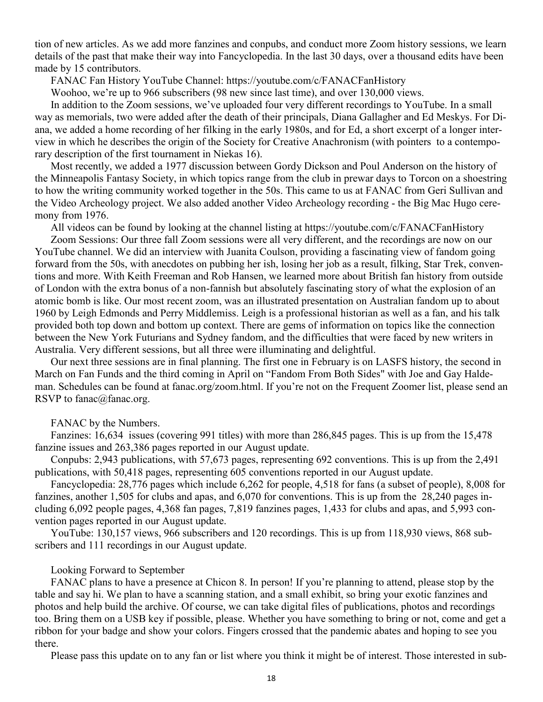tion of new articles. As we add more fanzines and conpubs, and conduct more Zoom history sessions, we learn details of the past that make their way into Fancyclopedia. In the last 30 days, over a thousand edits have been made by 15 contributors.

FANAC Fan History YouTube Channel: https://youtube.com/c/FANACFanHistory

Woohoo, we're up to 966 subscribers (98 new since last time), and over 130,000 views.

In addition to the Zoom sessions, we've uploaded four very different recordings to YouTube. In a small way as memorials, two were added after the death of their principals, Diana Gallagher and Ed Meskys. For Diana, we added a home recording of her filking in the early 1980s, and for Ed, a short excerpt of a longer interview in which he describes the origin of the Society for Creative Anachronism (with pointers to a contemporary description of the first tournament in Niekas 16).

Most recently, we added a 1977 discussion between Gordy Dickson and Poul Anderson on the history of the Minneapolis Fantasy Society, in which topics range from the club in prewar days to Torcon on a shoestring to how the writing community worked together in the 50s. This came to us at FANAC from Geri Sullivan and the Video Archeology project. We also added another Video Archeology recording - the Big Mac Hugo ceremony from 1976.

All videos can be found by looking at the channel listing at https://youtube.com/c/FANACFanHistory

Zoom Sessions: Our three fall Zoom sessions were all very different, and the recordings are now on our YouTube channel. We did an interview with Juanita Coulson, providing a fascinating view of fandom going forward from the 50s, with anecdotes on pubbing her ish, losing her job as a result, filking, Star Trek, conventions and more. With Keith Freeman and Rob Hansen, we learned more about British fan history from outside of London with the extra bonus of a non-fannish but absolutely fascinating story of what the explosion of an atomic bomb is like. Our most recent zoom, was an illustrated presentation on Australian fandom up to about 1960 by Leigh Edmonds and Perry Middlemiss. Leigh is a professional historian as well as a fan, and his talk provided both top down and bottom up context. There are gems of information on topics like the connection between the New York Futurians and Sydney fandom, and the difficulties that were faced by new writers in Australia. Very different sessions, but all three were illuminating and delightful.

Our next three sessions are in final planning. The first one in February is on LASFS history, the second in March on Fan Funds and the third coming in April on "Fandom From Both Sides" with Joe and Gay Haldeman. Schedules can be found at fanac.org/zoom.html. If you're not on the Frequent Zoomer list, please send an RSVP to fanac@fanac.org.

#### FANAC by the Numbers.

Fanzines: 16,634 issues (covering 991 titles) with more than 286,845 pages. This is up from the 15,478 fanzine issues and 263,386 pages reported in our August update.

Conpubs: 2,943 publications, with 57,673 pages, representing 692 conventions. This is up from the 2,491 publications, with 50,418 pages, representing 605 conventions reported in our August update.

Fancyclopedia: 28,776 pages which include 6,262 for people, 4,518 for fans (a subset of people), 8,008 for fanzines, another 1,505 for clubs and apas, and 6,070 for conventions. This is up from the 28,240 pages including 6,092 people pages, 4,368 fan pages, 7,819 fanzines pages, 1,433 for clubs and apas, and 5,993 convention pages reported in our August update.

YouTube: 130,157 views, 966 subscribers and 120 recordings. This is up from 118,930 views, 868 subscribers and 111 recordings in our August update.

### Looking Forward to September

FANAC plans to have a presence at Chicon 8. In person! If you're planning to attend, please stop by the table and say hi. We plan to have a scanning station, and a small exhibit, so bring your exotic fanzines and photos and help build the archive. Of course, we can take digital files of publications, photos and recordings too. Bring them on a USB key if possible, please. Whether you have something to bring or not, come and get a ribbon for your badge and show your colors. Fingers crossed that the pandemic abates and hoping to see you there.

Please pass this update on to any fan or list where you think it might be of interest. Those interested in sub-